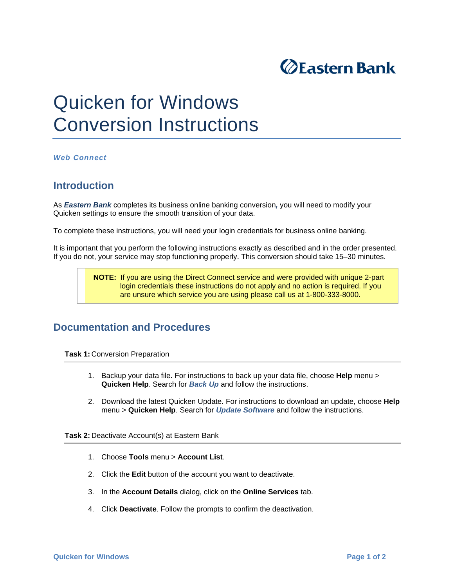

## Quicken for Windows Conversion Instructions

*Web Connect* 

## **Introduction**

As *Eastern Bank* completes its business online banking conversion*,* you will need to modify your Quicken settings to ensure the smooth transition of your data.

To complete these instructions, you will need your login credentials for business online banking.

It is important that you perform the following instructions exactly as described and in the order presented. If you do not, your service may stop functioning properly. This conversion should take 15–30 minutes.

> **NOTE:** If you are using the Direct Connect service and were provided with unique 2-part login credentials these instructions do not apply and no action is required. If you are unsure which service you are using please call us at 1-800-333-8000.

## **Documentation and Procedures**

**Task 1: Conversion Preparation** 

- 1. Backup your data file. For instructions to back up your data file, choose **Help** menu > **Quicken Help**. Search for *Back Up* and follow the instructions.
- 2. Download the latest Quicken Update. For instructions to download an update, choose **Help** menu > **Quicken Help**. Search for *Update Software* and follow the instructions.

**Task 2:** Deactivate Account(s) at Eastern Bank

- 1. Choose **Tools** menu > **Account List**.
- 2. Click the **Edit** button of the account you want to deactivate.
- 3. In the **Account Details** dialog, click on the **Online Services** tab.
- 4. Click **Deactivate**. Follow the prompts to confirm the deactivation.